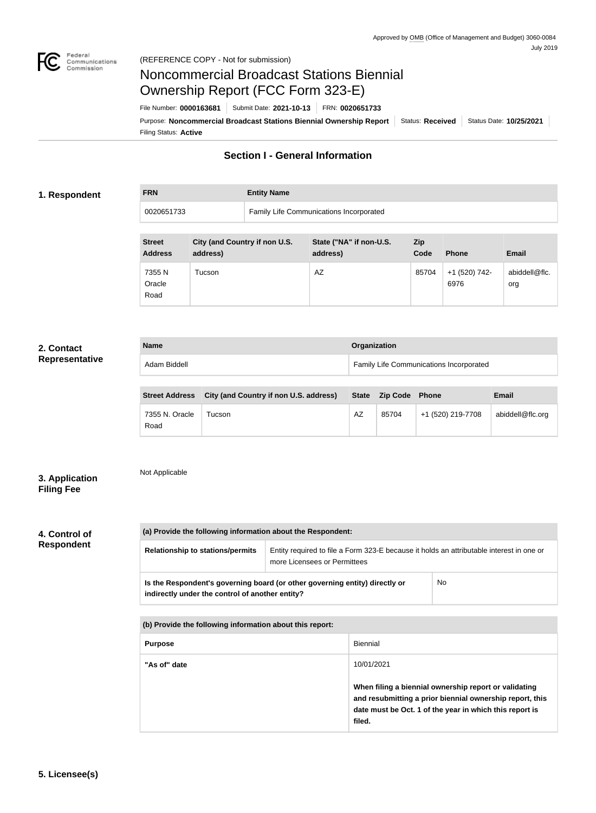

**FRN Entity Name**

# Noncommercial Broadcast Stations Biennial Ownership Report (FCC Form 323-E)

Filing Status: **Active** Purpose: Noncommercial Broadcast Stations Biennial Ownership Report | Status: Received | Status Date: 10/25/2021 File Number: **0000163681** Submit Date: **2021-10-13** FRN: **0020651733**

# **Section I - General Information**

# **1. Respondent**

| FRN        | <b>Entity Name</b>                      |
|------------|-----------------------------------------|
| 0020651733 | Family Life Communications Incorporated |

| <b>Street</b><br><b>Address</b> | City (and Country if non U.S.<br>address) | State ("NA" if non-U.S.<br>address) | <b>Zip</b><br>Code | <b>Phone</b>          | <b>Email</b>         |
|---------------------------------|-------------------------------------------|-------------------------------------|--------------------|-----------------------|----------------------|
| 7355 N<br>Oracle<br>Road        | Tucson                                    | AZ                                  | 85704              | +1 (520) 742-<br>6976 | abiddell@flc.<br>org |

# **2. Contact Representative**

| <b>Name</b>                                           | Organization                            |              |
|-------------------------------------------------------|-----------------------------------------|--------------|
| Adam Biddell                                          | Family Life Communications Incorporated |              |
|                                                       |                                         |              |
| Street Address City (and Country if non U.S. address) | State Zin Code Phone                    | <b>Fmail</b> |

| <b>Street Address</b>  | City (and Country if non U.S. address) | <b>State</b> | <b>Zip Code Phone</b> |                   | <b>Email</b>     |
|------------------------|----------------------------------------|--------------|-----------------------|-------------------|------------------|
| 7355 N. Oracle<br>Road | Fucson.                                | AZ           | 85704                 | +1 (520) 219-7708 | abiddell@flc.org |

### Not Applicable **3. Application**

# **Filing Fee**

**4. Control of Respondent**

| <b>Relationship to stations/permits</b>                                                                                        | Entity required to file a Form 323-E because it holds an attributable interest in one or<br>more Licensees or Permittees |     |
|--------------------------------------------------------------------------------------------------------------------------------|--------------------------------------------------------------------------------------------------------------------------|-----|
| Is the Respondent's governing board (or other governing entity) directly or<br>indirectly under the control of another entity? |                                                                                                                          | No. |

| (b) Provide the following information about this report: |                                                                                                                                                                                        |  |
|----------------------------------------------------------|----------------------------------------------------------------------------------------------------------------------------------------------------------------------------------------|--|
| <b>Purpose</b>                                           | <b>Biennial</b>                                                                                                                                                                        |  |
| "As of" date                                             | 10/01/2021                                                                                                                                                                             |  |
|                                                          | When filing a biennial ownership report or validating<br>and resubmitting a prior biennial ownership report, this<br>date must be Oct. 1 of the year in which this report is<br>filed. |  |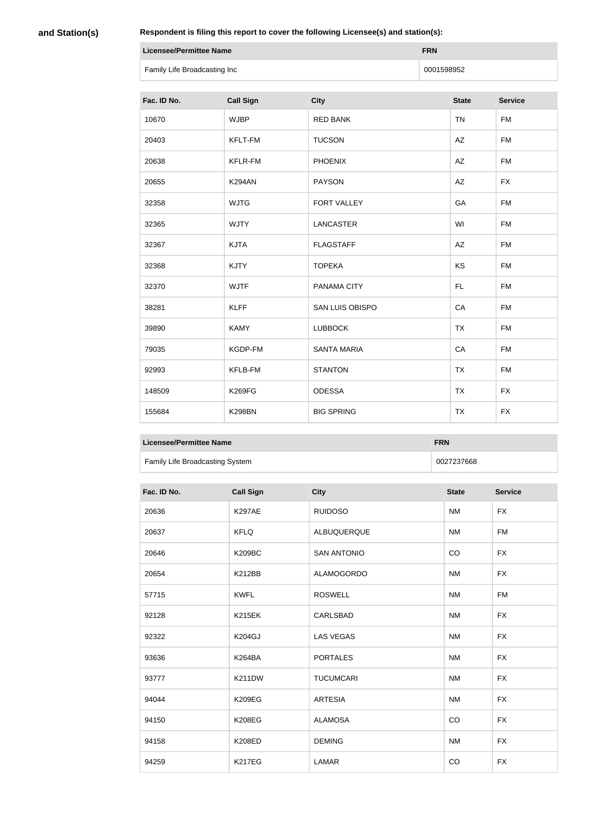**and Station(s)**

**Respondent is filing this report to cover the following Licensee(s) and station(s):**

| <b>Licensee/Permittee Name</b> | <b>FRN</b> |
|--------------------------------|------------|
| Family Life Broadcasting Inc   | 0001598952 |

| Fac. ID No. | <b>Call Sign</b> | <b>City</b>            | <b>State</b> | <b>Service</b> |
|-------------|------------------|------------------------|--------------|----------------|
| 10670       | <b>WJBP</b>      | <b>RED BANK</b>        | <b>TN</b>    | <b>FM</b>      |
| 20403       | <b>KFLT-FM</b>   | <b>TUCSON</b>          | <b>AZ</b>    | <b>FM</b>      |
| 20638       | <b>KFLR-FM</b>   | <b>PHOENIX</b>         | AZ           | <b>FM</b>      |
| 20655       | <b>K294AN</b>    | <b>PAYSON</b>          | AZ           | <b>FX</b>      |
| 32358       | <b>WJTG</b>      | <b>FORT VALLEY</b>     | GA           | <b>FM</b>      |
| 32365       | <b>WJTY</b>      | <b>LANCASTER</b>       | WI           | <b>FM</b>      |
| 32367       | <b>KJTA</b>      | <b>FLAGSTAFF</b>       | AZ           | <b>FM</b>      |
| 32368       | <b>KJTY</b>      | <b>TOPEKA</b>          | KS           | <b>FM</b>      |
| 32370       | <b>WJTF</b>      | PANAMA CITY            | FL.          | <b>FM</b>      |
| 38281       | <b>KLFF</b>      | <b>SAN LUIS OBISPO</b> | CA           | <b>FM</b>      |
| 39890       | <b>KAMY</b>      | <b>LUBBOCK</b>         | <b>TX</b>    | <b>FM</b>      |
| 79035       | KGDP-FM          | <b>SANTA MARIA</b>     | CA           | <b>FM</b>      |
| 92993       | <b>KFLB-FM</b>   | <b>STANTON</b>         | <b>TX</b>    | <b>FM</b>      |
| 148509      | <b>K269FG</b>    | <b>ODESSA</b>          | <b>TX</b>    | <b>FX</b>      |
| 155684      | <b>K298BN</b>    | <b>BIG SPRING</b>      | <b>TX</b>    | <b>FX</b>      |

| Licensee/Permittee Name                | <b>FRN</b> |
|----------------------------------------|------------|
| <b>Family Life Broadcasting System</b> | 0027237668 |

| Fac. ID No. | <b>Call Sign</b> | <b>City</b>        | <b>State</b> | <b>Service</b> |
|-------------|------------------|--------------------|--------------|----------------|
| 20636       | <b>K297AE</b>    | <b>RUIDOSO</b>     | <b>NM</b>    | <b>FX</b>      |
| 20637       | <b>KFLQ</b>      | ALBUQUERQUE        | <b>NM</b>    | <b>FM</b>      |
| 20646       | <b>K209BC</b>    | <b>SAN ANTONIO</b> | CO           | <b>FX</b>      |
| 20654       | <b>K212BB</b>    | <b>ALAMOGORDO</b>  | <b>NM</b>    | <b>FX</b>      |
| 57715       | <b>KWFL</b>      | <b>ROSWELL</b>     | <b>NM</b>    | <b>FM</b>      |
| 92128       | <b>K215EK</b>    | CARLSBAD           | <b>NM</b>    | <b>FX</b>      |
| 92322       | <b>K204GJ</b>    | <b>LAS VEGAS</b>   | <b>NM</b>    | <b>FX</b>      |
| 93636       | <b>K264BA</b>    | <b>PORTALES</b>    | <b>NM</b>    | <b>FX</b>      |
| 93777       | <b>K211DW</b>    | <b>TUCUMCARI</b>   | <b>NM</b>    | <b>FX</b>      |
| 94044       | <b>K209EG</b>    | <b>ARTESIA</b>     | <b>NM</b>    | <b>FX</b>      |
| 94150       | <b>K208EG</b>    | <b>ALAMOSA</b>     | CO           | <b>FX</b>      |
| 94158       | <b>K208ED</b>    | <b>DEMING</b>      | <b>NM</b>    | <b>FX</b>      |
| 94259       | <b>K217EG</b>    | <b>LAMAR</b>       | CO           | <b>FX</b>      |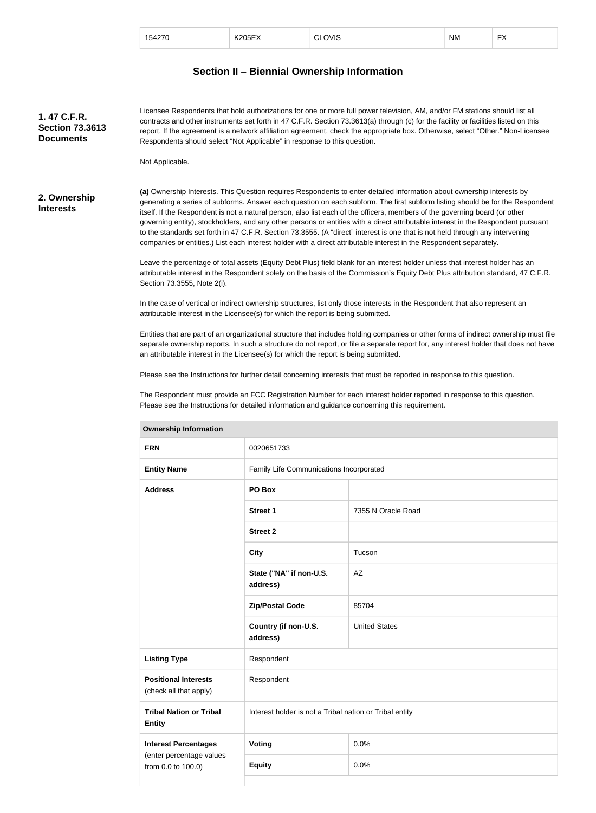| 154270 | <b>K205EX</b> | CLOVIS<br>$\sim$ | <b>NM</b> | $\mathbf{r}$<br>⊤∧ |
|--------|---------------|------------------|-----------|--------------------|
|        |               |                  |           |                    |

# **Section II – Biennial Ownership Information**

**(a)** Ownership Interests. This Question requires Respondents to enter detailed information about ownership interests by generating a series of subforms. Answer each question on each subform. The first subform listing should be for the Respondent itself. If the Respondent is not a natural person, also list each of the officers, members of the governing board (or other governing entity), stockholders, and any other persons or entities with a direct attributable interest in the Respondent pursuant to the standards set forth in 47 C.F.R. Section 73.3555. (A "direct" interest is one that is not held through any intervening companies or entities.) List each interest holder with a direct attributable interest in the Respondent separately. **2. Ownership Interests** Licensee Respondents that hold authorizations for one or more full power television, AM, and/or FM stations should list all contracts and other instruments set forth in 47 C.F.R. Section 73.3613(a) through (c) for the facility or facilities listed on this report. If the agreement is a network affiliation agreement, check the appropriate box. Otherwise, select "Other." Non-Licensee Respondents should select "Not Applicable" in response to this question. Not Applicable. **1. 47 C.F.R. Section 73.3613 Documents**

> Leave the percentage of total assets (Equity Debt Plus) field blank for an interest holder unless that interest holder has an attributable interest in the Respondent solely on the basis of the Commission's Equity Debt Plus attribution standard, 47 C.F.R. Section 73.3555, Note 2(i).

In the case of vertical or indirect ownership structures, list only those interests in the Respondent that also represent an attributable interest in the Licensee(s) for which the report is being submitted.

Entities that are part of an organizational structure that includes holding companies or other forms of indirect ownership must file separate ownership reports. In such a structure do not report, or file a separate report for, any interest holder that does not have an attributable interest in the Licensee(s) for which the report is being submitted.

Please see the Instructions for further detail concerning interests that must be reported in response to this question.

The Respondent must provide an FCC Registration Number for each interest holder reported in response to this question. Please see the Instructions for detailed information and guidance concerning this requirement.

| <b>FRN</b>                                            | 0020651733                                              |                      |  |
|-------------------------------------------------------|---------------------------------------------------------|----------------------|--|
| <b>Entity Name</b>                                    | Family Life Communications Incorporated                 |                      |  |
| <b>Address</b>                                        | PO Box                                                  |                      |  |
|                                                       | <b>Street 1</b>                                         | 7355 N Oracle Road   |  |
|                                                       | <b>Street 2</b>                                         |                      |  |
|                                                       | <b>City</b>                                             | Tucson               |  |
|                                                       | State ("NA" if non-U.S.<br>address)                     | AZ                   |  |
|                                                       | <b>Zip/Postal Code</b>                                  | 85704                |  |
|                                                       | Country (if non-U.S.<br>address)                        | <b>United States</b> |  |
| <b>Listing Type</b>                                   | Respondent                                              |                      |  |
| <b>Positional Interests</b><br>(check all that apply) | Respondent                                              |                      |  |
| <b>Tribal Nation or Tribal</b><br><b>Entity</b>       | Interest holder is not a Tribal nation or Tribal entity |                      |  |
| <b>Interest Percentages</b>                           | Voting                                                  | 0.0%                 |  |
| (enter percentage values<br>from 0.0 to 100.0)        | <b>Equity</b>                                           | 0.0%                 |  |

#### **Ownership Information**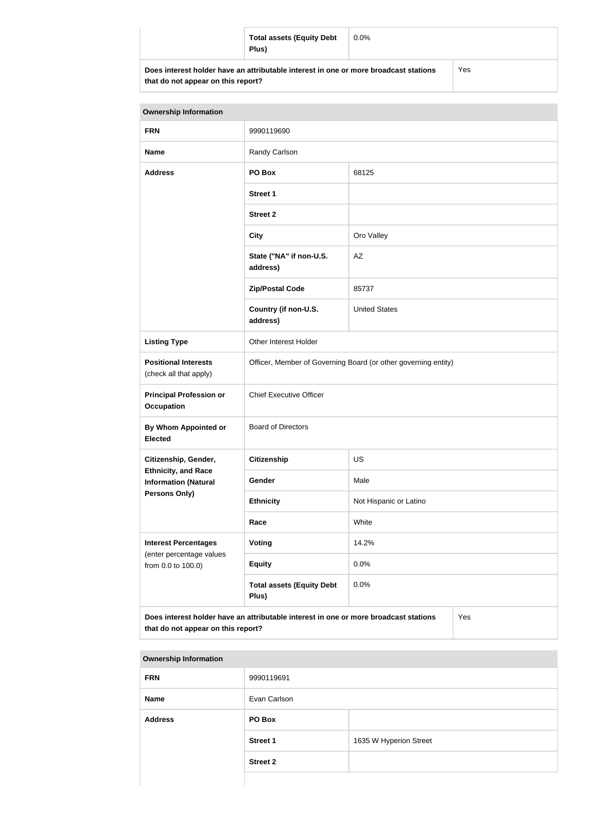| <b>Total assets (Equity Debt</b><br>Plus)                                            | $0.0\%$ |     |
|--------------------------------------------------------------------------------------|---------|-----|
| Does interest holder have an attributable interest in one or more broadcast stations |         | Yes |

**that do not appear on this report?**

| <b>Ownership Information</b>                                                                                                      |                                                                |                        |  |
|-----------------------------------------------------------------------------------------------------------------------------------|----------------------------------------------------------------|------------------------|--|
| <b>FRN</b>                                                                                                                        | 9990119690                                                     |                        |  |
| <b>Name</b>                                                                                                                       | Randy Carlson                                                  |                        |  |
| <b>Address</b>                                                                                                                    | PO Box                                                         | 68125                  |  |
|                                                                                                                                   | <b>Street 1</b>                                                |                        |  |
|                                                                                                                                   | <b>Street 2</b>                                                |                        |  |
|                                                                                                                                   | <b>City</b>                                                    | Oro Valley             |  |
|                                                                                                                                   | State ("NA" if non-U.S.<br>address)                            | AZ                     |  |
|                                                                                                                                   | <b>Zip/Postal Code</b>                                         | 85737                  |  |
|                                                                                                                                   | Country (if non-U.S.<br>address)                               | <b>United States</b>   |  |
| <b>Listing Type</b>                                                                                                               | Other Interest Holder                                          |                        |  |
| <b>Positional Interests</b><br>(check all that apply)                                                                             | Officer, Member of Governing Board (or other governing entity) |                        |  |
| <b>Principal Profession or</b><br><b>Occupation</b>                                                                               | <b>Chief Executive Officer</b>                                 |                        |  |
| By Whom Appointed or<br><b>Elected</b>                                                                                            | <b>Board of Directors</b>                                      |                        |  |
| Citizenship, Gender,                                                                                                              | Citizenship                                                    | <b>US</b>              |  |
| <b>Ethnicity, and Race</b><br><b>Information (Natural</b>                                                                         | Gender                                                         | Male                   |  |
| <b>Persons Only)</b>                                                                                                              | <b>Ethnicity</b>                                               | Not Hispanic or Latino |  |
|                                                                                                                                   | Race                                                           | White                  |  |
| <b>Interest Percentages</b>                                                                                                       | <b>Voting</b>                                                  | 14.2%                  |  |
| (enter percentage values<br>from 0.0 to 100.0)                                                                                    | <b>Equity</b>                                                  | 0.0%                   |  |
|                                                                                                                                   | <b>Total assets (Equity Debt</b><br>Plus)                      | 0.0%                   |  |
| Does interest holder have an attributable interest in one or more broadcast stations<br>Yes<br>that do not appear on this report? |                                                                |                        |  |

| <b>Ownership Information</b> |                 |                        |  |
|------------------------------|-----------------|------------------------|--|
| <b>FRN</b>                   | 9990119691      |                        |  |
| <b>Name</b>                  | Evan Carlson    |                        |  |
| <b>Address</b>               | PO Box          |                        |  |
|                              | <b>Street 1</b> | 1635 W Hyperion Street |  |
|                              | <b>Street 2</b> |                        |  |
|                              |                 |                        |  |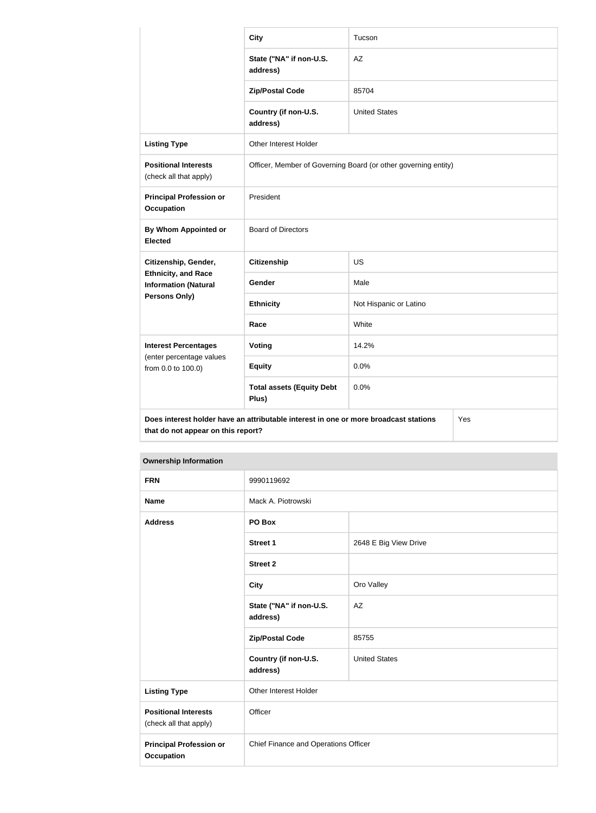|                                                                                   | <b>City</b>                                                                          | Tucson                 |  |
|-----------------------------------------------------------------------------------|--------------------------------------------------------------------------------------|------------------------|--|
|                                                                                   | State ("NA" if non-U.S.<br>address)                                                  | AZ                     |  |
|                                                                                   | <b>Zip/Postal Code</b>                                                               | 85704                  |  |
|                                                                                   | Country (if non-U.S.<br>address)                                                     | <b>United States</b>   |  |
| <b>Listing Type</b>                                                               | Other Interest Holder                                                                |                        |  |
| <b>Positional Interests</b><br>(check all that apply)                             | Officer, Member of Governing Board (or other governing entity)                       |                        |  |
| <b>Principal Profession or</b><br><b>Occupation</b>                               | President                                                                            |                        |  |
| By Whom Appointed or<br><b>Elected</b>                                            | <b>Board of Directors</b>                                                            |                        |  |
| Citizenship, Gender,<br><b>Ethnicity, and Race</b><br><b>Information (Natural</b> | <b>Citizenship</b>                                                                   | <b>US</b>              |  |
|                                                                                   | Gender                                                                               | Male                   |  |
| Persons Only)                                                                     | <b>Ethnicity</b>                                                                     | Not Hispanic or Latino |  |
|                                                                                   | Race                                                                                 | White                  |  |
| <b>Interest Percentages</b>                                                       | <b>Voting</b>                                                                        | 14.2%                  |  |
| (enter percentage values<br>from 0.0 to 100.0)                                    | <b>Equity</b>                                                                        | 0.0%                   |  |
|                                                                                   | <b>Total assets (Equity Debt</b><br>Plus)                                            | 0.0%                   |  |
| that do not appear on this report?                                                | Does interest holder have an attributable interest in one or more broadcast stations | Yes                    |  |

| <b>Ownership Information</b>                          |                                      |                       |  |
|-------------------------------------------------------|--------------------------------------|-----------------------|--|
| <b>FRN</b>                                            | 9990119692                           |                       |  |
| <b>Name</b>                                           | Mack A. Piotrowski                   |                       |  |
| <b>Address</b>                                        | PO Box                               |                       |  |
|                                                       | <b>Street 1</b>                      | 2648 E Big View Drive |  |
|                                                       | <b>Street 2</b>                      |                       |  |
|                                                       | <b>City</b>                          | Oro Valley            |  |
|                                                       | State ("NA" if non-U.S.<br>address)  | AZ                    |  |
|                                                       | <b>Zip/Postal Code</b>               | 85755                 |  |
|                                                       | Country (if non-U.S.<br>address)     | <b>United States</b>  |  |
| <b>Listing Type</b>                                   | Other Interest Holder                |                       |  |
| <b>Positional Interests</b><br>(check all that apply) | Officer                              |                       |  |
| <b>Principal Profession or</b><br><b>Occupation</b>   | Chief Finance and Operations Officer |                       |  |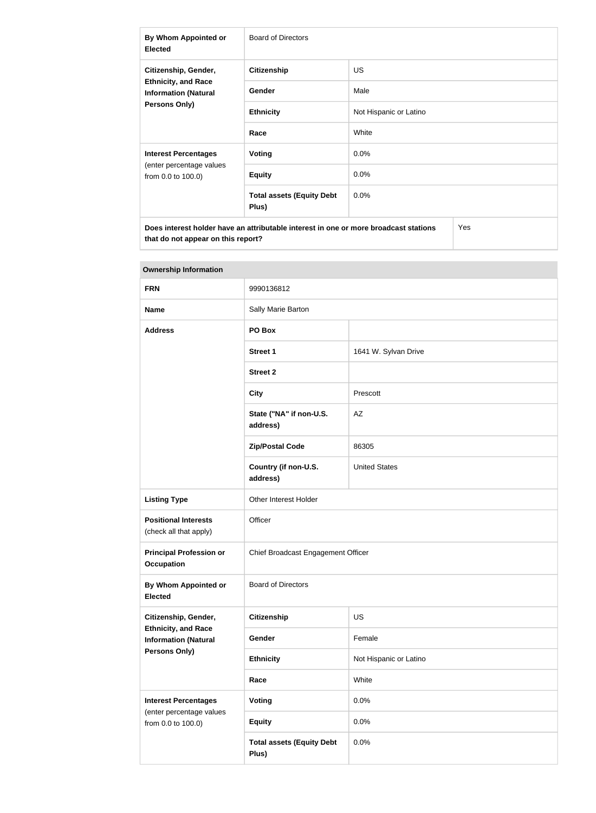| By Whom Appointed or<br><b>Elected</b>                                                                    | Board of Directors                        |                        |  |
|-----------------------------------------------------------------------------------------------------------|-------------------------------------------|------------------------|--|
| Citizenship, Gender,<br><b>Ethnicity, and Race</b><br><b>Information (Natural</b><br><b>Persons Only)</b> | <b>Citizenship</b>                        | <b>US</b>              |  |
|                                                                                                           | <b>Gender</b>                             | Male                   |  |
|                                                                                                           | <b>Ethnicity</b>                          | Not Hispanic or Latino |  |
|                                                                                                           | Race                                      | White                  |  |
| <b>Interest Percentages</b><br>(enter percentage values<br>from 0.0 to 100.0)                             | Voting                                    | $0.0\%$                |  |
|                                                                                                           | <b>Equity</b>                             | $0.0\%$                |  |
|                                                                                                           | <b>Total assets (Equity Debt</b><br>Plus) | 0.0%                   |  |
| Does interest holder have an attributable interest in one or more broadcast stations<br>Yes               |                                           |                        |  |

| <b>Ownership Information</b>                                                  |                                           |                        |  |
|-------------------------------------------------------------------------------|-------------------------------------------|------------------------|--|
| <b>FRN</b>                                                                    | 9990136812                                |                        |  |
| <b>Name</b>                                                                   | Sally Marie Barton                        |                        |  |
| <b>Address</b>                                                                | PO Box                                    |                        |  |
|                                                                               | <b>Street 1</b>                           | 1641 W. Sylvan Drive   |  |
|                                                                               | <b>Street 2</b>                           |                        |  |
|                                                                               | <b>City</b>                               | Prescott               |  |
|                                                                               | State ("NA" if non-U.S.<br>address)       | AZ                     |  |
|                                                                               | <b>Zip/Postal Code</b>                    | 86305                  |  |
|                                                                               | Country (if non-U.S.<br>address)          | <b>United States</b>   |  |
| <b>Listing Type</b>                                                           | Other Interest Holder                     |                        |  |
| <b>Positional Interests</b><br>(check all that apply)                         | Officer                                   |                        |  |
| <b>Principal Profession or</b><br><b>Occupation</b>                           | Chief Broadcast Engagement Officer        |                        |  |
| By Whom Appointed or<br><b>Elected</b>                                        | <b>Board of Directors</b>                 |                        |  |
| Citizenship, Gender,                                                          | <b>Citizenship</b>                        | <b>US</b>              |  |
| <b>Ethnicity, and Race</b><br><b>Information (Natural</b>                     | Gender                                    | Female                 |  |
| Persons Only)                                                                 | <b>Ethnicity</b>                          | Not Hispanic or Latino |  |
|                                                                               | Race                                      | White                  |  |
| <b>Interest Percentages</b><br>(enter percentage values<br>from 0.0 to 100.0) | Voting                                    | 0.0%                   |  |
|                                                                               | <b>Equity</b>                             | 0.0%                   |  |
|                                                                               | <b>Total assets (Equity Debt</b><br>Plus) | 0.0%                   |  |

**that do not appear on this report?**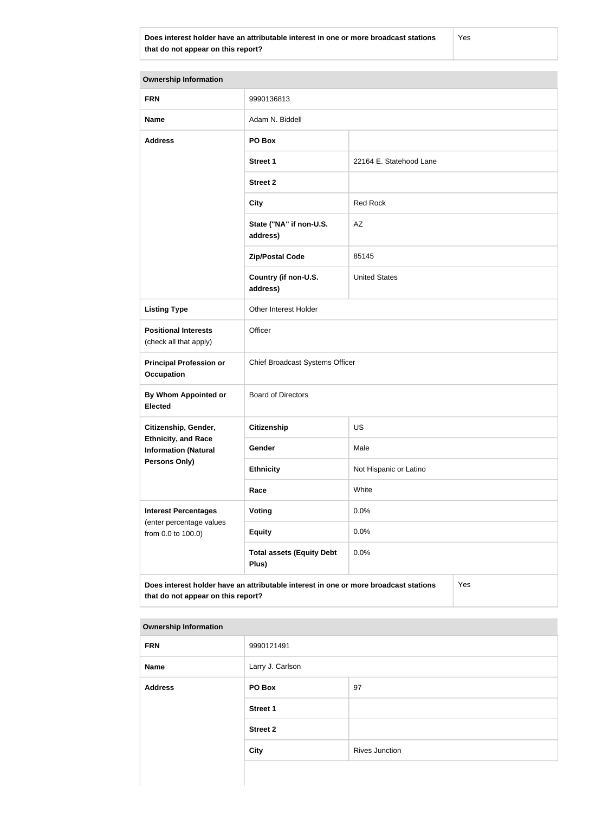**Does interest holder have an attributable interest in one or more broadcast stations that do not appear on this report?**

Yes

| <b>Ownership Information</b>                              |                                                                                      |                         |  |  |
|-----------------------------------------------------------|--------------------------------------------------------------------------------------|-------------------------|--|--|
| <b>FRN</b>                                                | 9990136813                                                                           |                         |  |  |
| <b>Name</b>                                               | Adam N. Biddell                                                                      |                         |  |  |
| <b>Address</b>                                            | PO Box                                                                               |                         |  |  |
|                                                           | <b>Street 1</b>                                                                      | 22164 E. Statehood Lane |  |  |
|                                                           | <b>Street 2</b>                                                                      |                         |  |  |
|                                                           | <b>City</b>                                                                          | <b>Red Rock</b>         |  |  |
|                                                           | State ("NA" if non-U.S.<br>address)                                                  | AZ                      |  |  |
|                                                           | <b>Zip/Postal Code</b>                                                               | 85145                   |  |  |
|                                                           | Country (if non-U.S.<br>address)                                                     | <b>United States</b>    |  |  |
| <b>Listing Type</b>                                       | Other Interest Holder                                                                |                         |  |  |
| <b>Positional Interests</b><br>(check all that apply)     | Officer                                                                              |                         |  |  |
| <b>Principal Profession or</b><br><b>Occupation</b>       | Chief Broadcast Systems Officer                                                      |                         |  |  |
| By Whom Appointed or<br><b>Elected</b>                    | <b>Board of Directors</b>                                                            |                         |  |  |
| Citizenship, Gender,                                      | <b>Citizenship</b>                                                                   | <b>US</b>               |  |  |
| <b>Ethnicity, and Race</b><br><b>Information (Natural</b> | Gender                                                                               | Male                    |  |  |
| <b>Persons Only)</b>                                      | <b>Ethnicity</b>                                                                     | Not Hispanic or Latino  |  |  |
|                                                           | Race                                                                                 | White                   |  |  |
| <b>Interest Percentages</b>                               | Voting                                                                               | 0.0%                    |  |  |
| (enter percentage values<br>from 0.0 to 100.0)            | <b>Equity</b>                                                                        | 0.0%                    |  |  |
|                                                           | <b>Total assets (Equity Debt</b><br>Plus)                                            | 0.0%                    |  |  |
| that do not appear on this report?                        | Does interest holder have an attributable interest in one or more broadcast stations | Yes                     |  |  |

### **Ownership Information**

| <b>FRN</b>     | 9990121491       |                       |
|----------------|------------------|-----------------------|
| Name           | Larry J. Carlson |                       |
| <b>Address</b> | <b>PO Box</b>    | 97                    |
|                | <b>Street 1</b>  |                       |
|                | <b>Street 2</b>  |                       |
|                | <b>City</b>      | <b>Rives Junction</b> |
|                |                  |                       |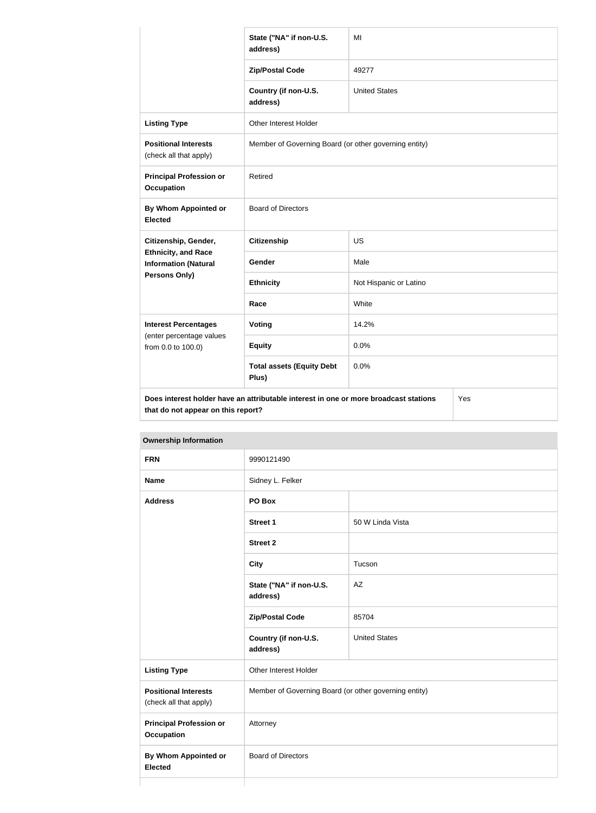|                                                                                   | State ("NA" if non-U.S.<br>address)                                                  | MI                     |  |
|-----------------------------------------------------------------------------------|--------------------------------------------------------------------------------------|------------------------|--|
|                                                                                   | <b>Zip/Postal Code</b>                                                               | 49277                  |  |
|                                                                                   | Country (if non-U.S.<br>address)                                                     | <b>United States</b>   |  |
| <b>Listing Type</b>                                                               | Other Interest Holder                                                                |                        |  |
| <b>Positional Interests</b><br>(check all that apply)                             | Member of Governing Board (or other governing entity)                                |                        |  |
| <b>Principal Profession or</b><br><b>Occupation</b>                               | Retired                                                                              |                        |  |
| <b>By Whom Appointed or</b><br><b>Elected</b>                                     | <b>Board of Directors</b>                                                            |                        |  |
| Citizenship, Gender,<br><b>Ethnicity, and Race</b><br><b>Information (Natural</b> | <b>Citizenship</b>                                                                   | US                     |  |
|                                                                                   | <b>Gender</b>                                                                        | Male                   |  |
| Persons Only)                                                                     | <b>Ethnicity</b>                                                                     | Not Hispanic or Latino |  |
|                                                                                   | Race                                                                                 | White                  |  |
| <b>Interest Percentages</b>                                                       | Voting                                                                               | 14.2%                  |  |
| (enter percentage values<br>from 0.0 to 100.0)                                    | <b>Equity</b>                                                                        | 0.0%                   |  |
|                                                                                   | <b>Total assets (Equity Debt</b><br>Plus)                                            | 0.0%                   |  |
| that do not appear on this report?                                                | Does interest holder have an attributable interest in one or more broadcast stations | Yes                    |  |

| <b>Ownership Information</b>                          |                                     |                                                       |  |
|-------------------------------------------------------|-------------------------------------|-------------------------------------------------------|--|
| <b>FRN</b>                                            | 9990121490                          |                                                       |  |
| <b>Name</b>                                           | Sidney L. Felker                    |                                                       |  |
| <b>Address</b>                                        | PO Box                              |                                                       |  |
|                                                       | <b>Street 1</b>                     | 50 W Linda Vista                                      |  |
|                                                       | <b>Street 2</b>                     |                                                       |  |
|                                                       | <b>City</b>                         | Tucson                                                |  |
|                                                       | State ("NA" if non-U.S.<br>address) | AZ                                                    |  |
|                                                       | <b>Zip/Postal Code</b>              | 85704                                                 |  |
|                                                       | Country (if non-U.S.<br>address)    | <b>United States</b>                                  |  |
| <b>Listing Type</b>                                   | Other Interest Holder               |                                                       |  |
| <b>Positional Interests</b><br>(check all that apply) |                                     | Member of Governing Board (or other governing entity) |  |
| <b>Principal Profession or</b><br><b>Occupation</b>   | Attorney                            |                                                       |  |
| <b>By Whom Appointed or</b><br><b>Elected</b>         | <b>Board of Directors</b>           |                                                       |  |
|                                                       |                                     |                                                       |  |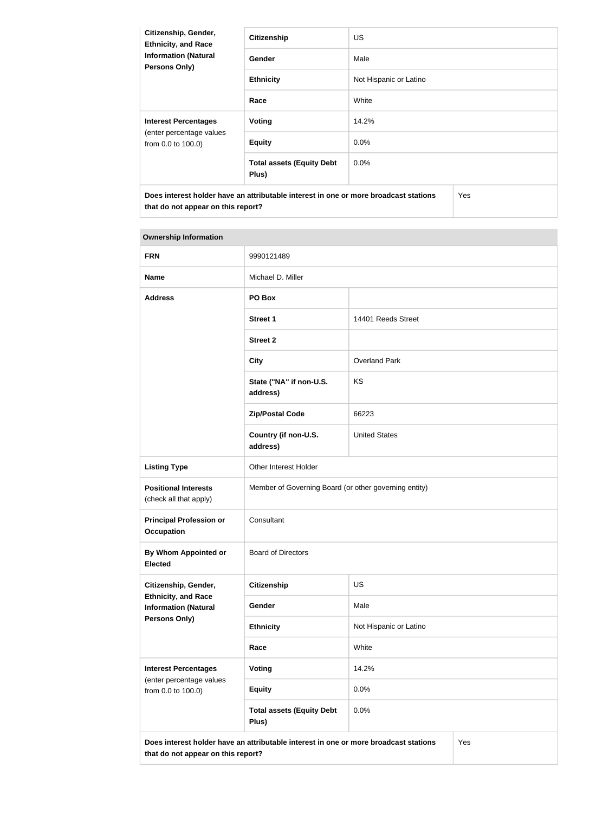| Citizenship, Gender,<br><b>Ethnicity, and Race</b><br><b>Information (Natural</b><br><b>Persons Only)</b> | <b>Citizenship</b>                        | <b>US</b>              |     |
|-----------------------------------------------------------------------------------------------------------|-------------------------------------------|------------------------|-----|
|                                                                                                           | Gender                                    | Male                   |     |
|                                                                                                           | <b>Ethnicity</b>                          | Not Hispanic or Latino |     |
|                                                                                                           | Race                                      | White                  |     |
| <b>Interest Percentages</b><br>(enter percentage values<br>from 0.0 to 100.0)                             | <b>Voting</b>                             | 14.2%                  |     |
|                                                                                                           | <b>Equity</b>                             | $0.0\%$                |     |
|                                                                                                           | <b>Total assets (Equity Debt</b><br>Plus) | 0.0%                   |     |
| Does interest holder have an attributable interest in one or more broadcast stations                      |                                           |                        | Yes |

# **Ownership Information**

**that do not appear on this report?**

| <b>FRN</b>                                                                                                                        | 9990121489                                            |                        |  |
|-----------------------------------------------------------------------------------------------------------------------------------|-------------------------------------------------------|------------------------|--|
| <b>Name</b>                                                                                                                       | Michael D. Miller                                     |                        |  |
| <b>Address</b>                                                                                                                    | PO Box                                                |                        |  |
|                                                                                                                                   | <b>Street 1</b>                                       | 14401 Reeds Street     |  |
|                                                                                                                                   | <b>Street 2</b>                                       |                        |  |
|                                                                                                                                   | <b>City</b>                                           | <b>Overland Park</b>   |  |
|                                                                                                                                   | State ("NA" if non-U.S.<br>address)                   | KS                     |  |
|                                                                                                                                   | <b>Zip/Postal Code</b>                                | 66223                  |  |
|                                                                                                                                   | Country (if non-U.S.<br>address)                      | <b>United States</b>   |  |
| <b>Listing Type</b>                                                                                                               | Other Interest Holder                                 |                        |  |
| <b>Positional Interests</b><br>(check all that apply)                                                                             | Member of Governing Board (or other governing entity) |                        |  |
| <b>Principal Profession or</b><br><b>Occupation</b>                                                                               | Consultant                                            |                        |  |
| <b>By Whom Appointed or</b><br><b>Elected</b>                                                                                     | <b>Board of Directors</b>                             |                        |  |
| Citizenship, Gender,<br><b>Ethnicity, and Race</b><br><b>Information (Natural</b><br><b>Persons Only)</b>                         | <b>Citizenship</b>                                    | US                     |  |
|                                                                                                                                   | Gender                                                | Male                   |  |
|                                                                                                                                   | <b>Ethnicity</b>                                      | Not Hispanic or Latino |  |
|                                                                                                                                   | Race                                                  | White                  |  |
| <b>Interest Percentages</b><br>(enter percentage values<br>from 0.0 to 100.0)                                                     | <b>Voting</b>                                         | 14.2%                  |  |
|                                                                                                                                   | <b>Equity</b>                                         | 0.0%                   |  |
|                                                                                                                                   | <b>Total assets (Equity Debt</b><br>Plus)             | 0.0%                   |  |
| Does interest holder have an attributable interest in one or more broadcast stations<br>Yes<br>that do not appear on this report? |                                                       |                        |  |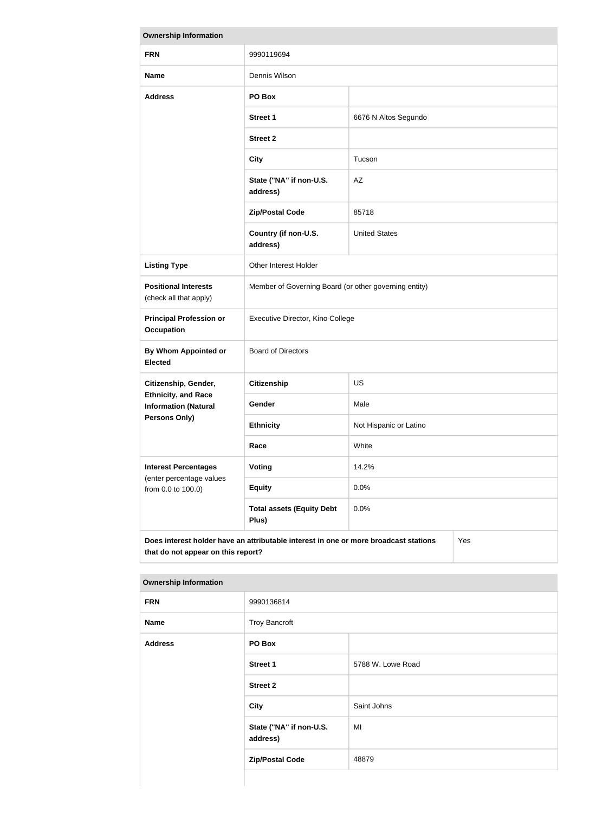| <b>Ownership Information</b>                                                                                                      |                                                       |                        |  |
|-----------------------------------------------------------------------------------------------------------------------------------|-------------------------------------------------------|------------------------|--|
| <b>FRN</b>                                                                                                                        | 9990119694                                            |                        |  |
| <b>Name</b>                                                                                                                       | Dennis Wilson                                         |                        |  |
| <b>Address</b>                                                                                                                    | PO Box                                                |                        |  |
|                                                                                                                                   | <b>Street 1</b>                                       | 6676 N Altos Segundo   |  |
|                                                                                                                                   | <b>Street 2</b>                                       |                        |  |
|                                                                                                                                   | <b>City</b>                                           | Tucson                 |  |
|                                                                                                                                   | State ("NA" if non-U.S.<br>address)                   | AZ                     |  |
|                                                                                                                                   | <b>Zip/Postal Code</b>                                | 85718                  |  |
|                                                                                                                                   | Country (if non-U.S.<br>address)                      | <b>United States</b>   |  |
| <b>Listing Type</b>                                                                                                               | Other Interest Holder                                 |                        |  |
| <b>Positional Interests</b><br>(check all that apply)                                                                             | Member of Governing Board (or other governing entity) |                        |  |
| <b>Principal Profession or</b><br><b>Occupation</b>                                                                               | Executive Director, Kino College                      |                        |  |
| <b>By Whom Appointed or</b><br><b>Elected</b>                                                                                     | <b>Board of Directors</b>                             |                        |  |
| Citizenship, Gender,                                                                                                              | <b>Citizenship</b>                                    | <b>US</b>              |  |
| <b>Ethnicity, and Race</b><br><b>Information (Natural</b><br>Persons Only)                                                        | <b>Gender</b>                                         | Male                   |  |
|                                                                                                                                   | <b>Ethnicity</b>                                      | Not Hispanic or Latino |  |
|                                                                                                                                   | Race                                                  | White                  |  |
| <b>Interest Percentages</b><br>(enter percentage values<br>from 0.0 to 100.0)                                                     | <b>Voting</b>                                         | 14.2%                  |  |
|                                                                                                                                   | <b>Equity</b>                                         | 0.0%                   |  |
|                                                                                                                                   | <b>Total assets (Equity Debt</b><br>Plus)             | 0.0%                   |  |
| Does interest holder have an attributable interest in one or more broadcast stations<br>Yes<br>that do not appear on this report? |                                                       |                        |  |

| <b>FRN</b>     | 9990136814                          |                   |  |
|----------------|-------------------------------------|-------------------|--|
| <b>Name</b>    | <b>Troy Bancroft</b>                |                   |  |
| <b>Address</b> | PO Box                              |                   |  |
|                | <b>Street 1</b>                     | 5788 W. Lowe Road |  |
|                | <b>Street 2</b>                     |                   |  |
|                | <b>City</b>                         | Saint Johns       |  |
|                | State ("NA" if non-U.S.<br>address) | MI                |  |
|                | <b>Zip/Postal Code</b>              | 48879             |  |

#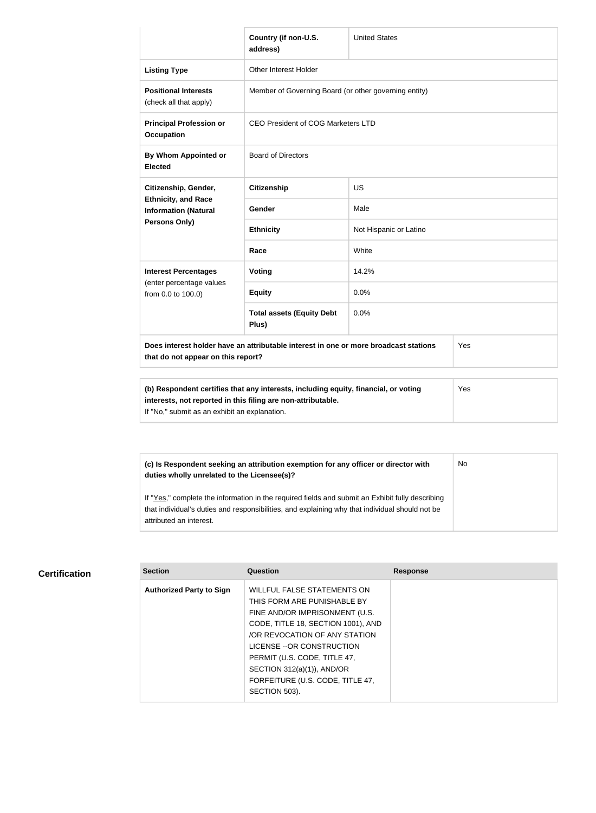|                                                                                                                                                            | Country (if non-U.S.<br>address)                      | <b>United States</b>   |     |
|------------------------------------------------------------------------------------------------------------------------------------------------------------|-------------------------------------------------------|------------------------|-----|
| <b>Listing Type</b>                                                                                                                                        | Other Interest Holder                                 |                        |     |
| <b>Positional Interests</b><br>(check all that apply)                                                                                                      | Member of Governing Board (or other governing entity) |                        |     |
| <b>Principal Profession or</b><br><b>Occupation</b>                                                                                                        | CEO President of COG Marketers LTD                    |                        |     |
| By Whom Appointed or<br><b>Elected</b>                                                                                                                     | <b>Board of Directors</b>                             |                        |     |
| Citizenship, Gender,<br><b>Ethnicity, and Race</b><br><b>Information (Natural</b><br>Persons Only)                                                         | <b>Citizenship</b>                                    | <b>US</b>              |     |
|                                                                                                                                                            | <b>Gender</b>                                         | Male                   |     |
|                                                                                                                                                            | <b>Ethnicity</b>                                      | Not Hispanic or Latino |     |
|                                                                                                                                                            | Race                                                  | White                  |     |
| <b>Interest Percentages</b><br>(enter percentage values<br>from 0.0 to 100.0)                                                                              | Voting                                                | 14.2%                  |     |
|                                                                                                                                                            | <b>Equity</b>                                         | 0.0%                   |     |
|                                                                                                                                                            | <b>Total assets (Equity Debt</b><br>Plus)             | 0.0%                   |     |
| Does interest holder have an attributable interest in one or more broadcast stations<br>that do not appear on this report?                                 |                                                       |                        | Yes |
|                                                                                                                                                            |                                                       |                        |     |
| (b) Respondent certifies that any interests, including equity, financial, or voting<br>Yes<br>interests, not reported in this filing are non-attributable. |                                                       |                        |     |

If "No," submit as an exhibit an explanation.

| (c) Is Respondent seeking an attribution exemption for any officer or director with<br>duties wholly unrelated to the Licensee(s)? | No |
|------------------------------------------------------------------------------------------------------------------------------------|----|
| If "Yes," complete the information in the required fields and submit an Exhibit fully describing                                   |    |
| that individual's duties and responsibilities, and explaining why that individual should not be<br>attributed an interest.         |    |

# **Certification**

| <b>Section</b>                  | Question                                                                                             | <b>Response</b> |
|---------------------------------|------------------------------------------------------------------------------------------------------|-----------------|
| <b>Authorized Party to Sign</b> | WILLFUL FALSE STATEMENTS ON<br>THIS FORM ARE PUNISHABLE BY                                           |                 |
|                                 | FINE AND/OR IMPRISONMENT (U.S.<br>CODE, TITLE 18, SECTION 1001), AND<br>OR REVOCATION OF ANY STATION |                 |
|                                 | LICENSE -- OR CONSTRUCTION<br>PERMIT (U.S. CODE, TITLE 47,                                           |                 |
|                                 | SECTION $312(a)(1)$ ), AND/OR<br>FORFEITURE (U.S. CODE, TITLE 47,                                    |                 |
|                                 | SECTION 503).                                                                                        |                 |